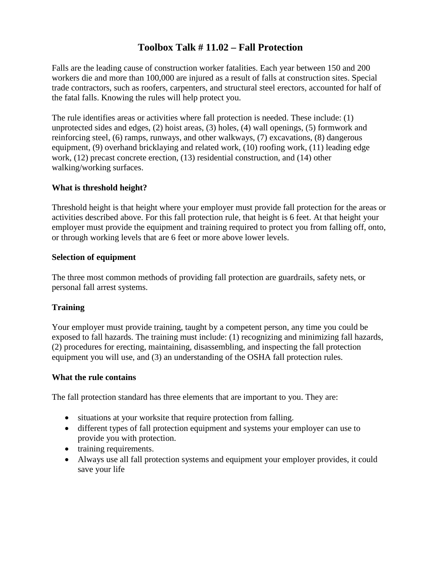## **Toolbox Talk # 11.02 – Fall Protection**

Falls are the leading cause of construction worker fatalities. Each year between 150 and 200 workers die and more than 100,000 are injured as a result of falls at construction sites. Special trade contractors, such as roofers, carpenters, and structural steel erectors, accounted for half of the fatal falls. Knowing the rules will help protect you.

The rule identifies areas or activities where fall protection is needed. These include: (1) unprotected sides and edges, (2) hoist areas, (3) holes, (4) wall openings, (5) formwork and reinforcing steel, (6) ramps, runways, and other walkways, (7) excavations, (8) dangerous equipment, (9) overhand bricklaying and related work, (10) roofing work, (11) leading edge work, (12) precast concrete erection, (13) residential construction, and (14) other walking/working surfaces.

### **What is threshold height?**

Threshold height is that height where your employer must provide fall protection for the areas or activities described above. For this fall protection rule, that height is 6 feet. At that height your employer must provide the equipment and training required to protect you from falling off, onto, or through working levels that are 6 feet or more above lower levels.

#### **Selection of equipment**

The three most common methods of providing fall protection are guardrails, safety nets, or personal fall arrest systems.

### **Training**

Your employer must provide training, taught by a competent person, any time you could be exposed to fall hazards. The training must include: (1) recognizing and minimizing fall hazards, (2) procedures for erecting, maintaining, disassembling, and inspecting the fall protection equipment you will use, and (3) an understanding of the OSHA fall protection rules.

#### **What the rule contains**

The fall protection standard has three elements that are important to you. They are:

- situations at your worksite that require protection from falling.
- different types of fall protection equipment and systems your employer can use to provide you with protection.
- training requirements.
- Always use all fall protection systems and equipment your employer provides, it could save your life